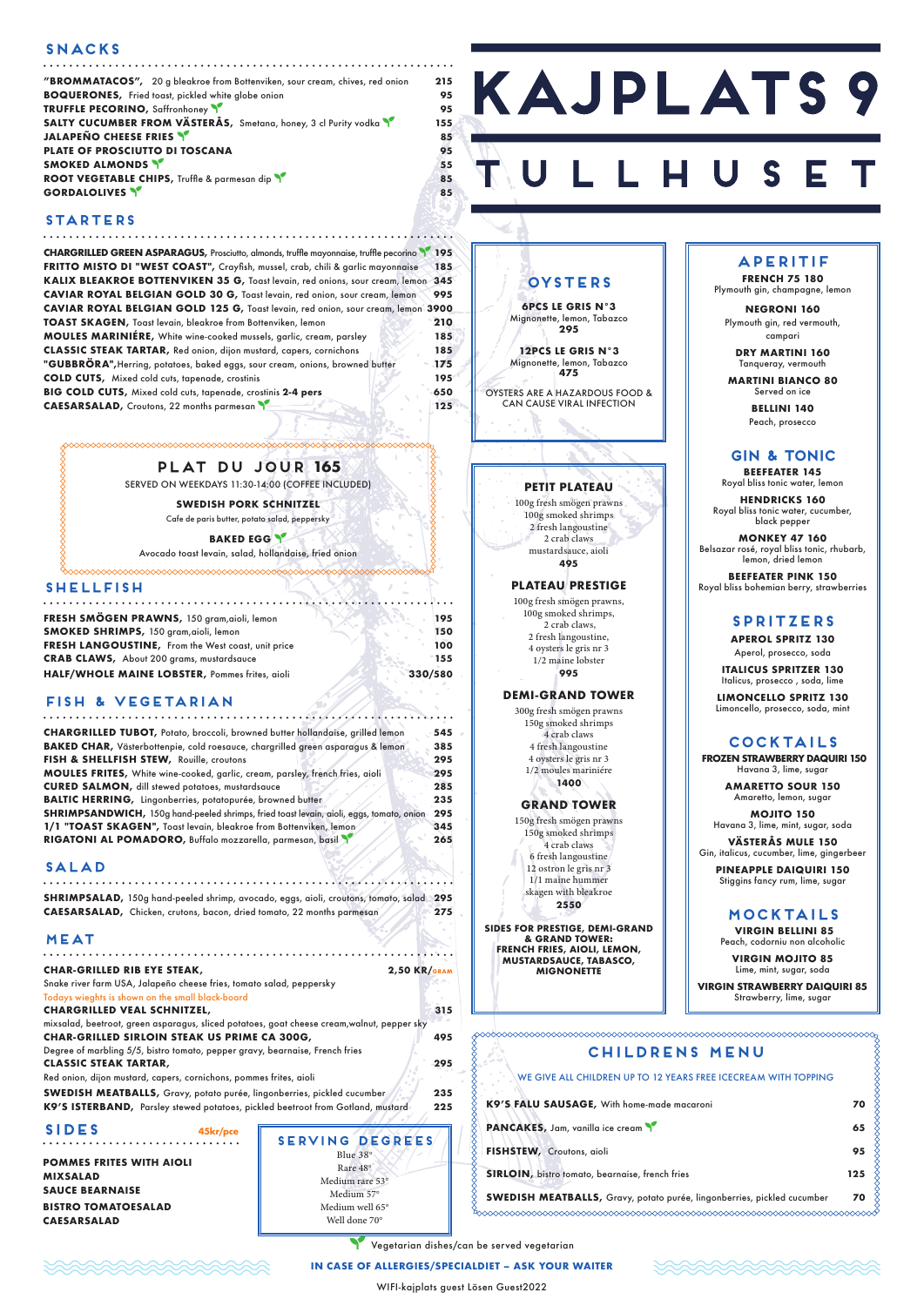### **SNACKS**

| "BROMMATACOS", 20 g bleakroe from Bottenviken, sour cream, chives, red onion | 215 |
|------------------------------------------------------------------------------|-----|
| <b>BOQUERONES, Fried toast, pickled white globe onion</b>                    | 95  |
| <b>TRUFFLE PECORINO, Saffronhoney</b>                                        | 95  |
| SALTY CUCUMBER FROM VÄSTERÅS, Smetana, honey, 3 cl Purity vodka              | 155 |
| JALAPEÑO CHEESE FRIES                                                        | 85  |
| <b>PLATE OF PROSCIUTTO DI TOSCANA</b>                                        | 95  |
| <b>SMOKED ALMONDS</b>                                                        | 55  |
| ROOT VEGETABLE CHIPS, Truffle & parmesan dip                                 | 85  |
| <b>GORDALOLIVES Y</b>                                                        | 85  |

# **KAJPLATS9**

### **STARTERS**

| CHARGRILLED GREEN ASPARAGUS, Prosciutto, almonds, truffle mayonnaise, truffle pecorino 195 |       |
|--------------------------------------------------------------------------------------------|-------|
| FRITTO MISTO DI "WEST COAST", Crayfish, mussel, crab, chili & garlic mayonnaise            | 185   |
| KALIX BLEAKROE BOTTENVIKEN 35 G, Toast levain, red onions, sour cream, lemon 345           |       |
| CAVIAR ROYAL BELGIAN GOLD 30 G, Toast levain, red onion, sour cream, lemon                 | 995   |
| CAVIAR ROYAL BELGIAN GOLD 125 G, Toast levain, red onion, sour cream, lemon 3900           |       |
| <b>TOAST SKAGEN, Toast levain, bleakroe from Bottenviken, lemon</b>                        | 210   |
| MOULES MARINIÉRE, White wine-cooked mussels, garlic, cream, parsley                        | 185   |
| <b>CLASSIC STEAK TARTAR, Red onion, dijon mustard, capers, cornichons</b>                  | 185   |
| "GUBBRÖRA", Herring, potatoes, baked eggs, sour cream, onions, browned butter              | 175   |
| <b>COLD CUTS, Mixed cold cuts, tapenade, crostinis</b>                                     | 195   |
| BIG COLD CUTS, Mixed cold cuts, tapenade, crostinis 2-4 pers                               | 650   |
| <b>CAESARSALAD, Croutons, 22 months parmesan</b>                                           | $125$ |

### **SHELLFISH**

| FRESH SMÖGEN PRAWNS, 150 gram, aioli, lemon        |         | 195   |
|----------------------------------------------------|---------|-------|
| <b>SMOKED SHRIMPS, 150 gram, aioli, lemon</b>      |         | 150   |
| FRESH LANGOUSTINE, From the West coast, unit price |         | 100   |
| <b>CRAB CLAWS, About 200 grams, mustardsauce</b>   |         | ' 155 |
| HALF/WHOLE MAINE LOBSTER, Pommes frites, aioli     | 330/580 |       |

### **FISH & VEGETARIAN**

| <b>CHARGRILLED TUBOT, Potato, broccoli, browned butter hollandaise, grilled lemon</b>    | 545 |
|------------------------------------------------------------------------------------------|-----|
| BAKED CHAR, Västerbottenpie, cold roesauce, chargrilled green asparagus & lemon          | 385 |
| FISH & SHELLFISH STEW, Rouille, croutons                                                 | 295 |
| MOULES FRITES, White wine-cooked, garlic, cream, parsley, french fries, aioli            | 295 |
| <b>CURED SALMON, dill stewed potatoes, mustardsauce</b>                                  | 285 |
| <b>BALTIC HERRING, Lingonberries, potatopurée, browned butter</b>                        | 235 |
| SHRIMPSANDWICH, 150g hand-peeled shrimps, fried toast levain, aioli, eggs, tomato, onion | 295 |
| 1/1 "TOAST SKAGEN", Toast levain, bleakroe from Bottenviken, lemon                       | 345 |
| RIGATONI AL POMADORO, Buffalo mozzarella, parmesan, basil                                | 265 |
|                                                                                          |     |

### **SALAD**

**SHRIMPSALAD,** 150g hand-peeled shrimp, avocado, eggs, aioli, croutons, tomato, salad **295 CAESARSALAD,** Chicken, crutons, bacon, dried tomato, 22 months parmesan **275**

### **MEAT**

| <b>CHAR-GRILLED RIB EYE STEAK,</b>                                   | $2.50$ KR/GRAM |
|----------------------------------------------------------------------|----------------|
| Snake river farm USA, Jalapeño cheese fries, tomato salad, peppersky |                |

Todays wieghts is shown on the small black-board

### **CHARGRILLED VEAL SCHNITZEL, 315**

mixsalad, beetroot, green asparagus, sliced potatoes, goat cheese cream,walnut, pepper sky **CHAR-GRILLED SIRLOIN STEAK US PRIME CA 300G, 495**

Degree of marbling 5/5, bistro tomato, pepper gravy, bearnaise, French fries **CLASSIC STEAK TARTAR, 295**

Red onion, dijon mustard, capers, cornichons, pommes frites, aioli

**SWEDISH MEATBALLS,** Gravy, potato purée, lingonberries, pickled cucumber **235 K9'S ISTERBAND,** Parsley stewed potatoes, pickled beetroot from Gotland, mustard **225**

. . . . . . .

### **SIDES 45kr/pce**

**POMMES FRITES WITH AIOLI MIXSALAD SAUCE BEARNAISE BISTRO TOMATOESALAD CAESARSALAD**

### **PETIT PLATEAU**

100g fresh smögen prawns 100g smoked shrimps 2 fresh langoustine 2 crab claws mustardsauce, aioli **495**

### **PLATEAU PRESTIGE**

100g fresh smögen prawns, 100g smoked shrimps, 2 crab claws, 2 fresh langoustine, 4 oysters le gris nr 3 1/2 maine lobster **995**

### **DEMI-GRAND TOWER**

300g fresh smögen prawns 150g smoked shrimps 4 crab claws 4 fresh langoustine 4 oysters le gris nr 3 1/2 moules mariniére **1400**

### **GRAND TOWER**

150g fresh smögen prawns 150g smoked shrimps 4 crab claws 6 fresh langoustine 12 ostron le gris nr 3 1/1 maine hummer skagen with bleakroe **2550**

**SIDES FOR PRESTIGE, DEMI-GRAND & GRAND TOWER: FRENCH FRIES, AIOLI, LEMON, MUSTARDSAUCE, TABASCO, MIGNONETTE**

### **PLAT DU JOUR 165**

SERVED ON WEEKDAYS 11:30-14:00 (COFFEE INCLUDED)

**SWEDISH PORK SCHNITZEL**

Cafe de paris butter, potato salad, peppersky

**BAKED EGG \** 

Avocado toast levain, salad, hollandaise, fried onion

### **APERITIF**

**FRENCH 75 180** Plymouth gin, champagne, lemon

> **NEGRONI 160** Plymouth gin, red vermouth, campari

**DRY MARTINI 160** Tanqueray, vermouth

**MARTINI BIANCO 80** Served on ice

> **BELLINI 140** Peach, prosecco

### **GIN & TONIC**

**BEEFEATER 145** Royal bliss tonic water, lemon

**HENDRICKS 160** Royal bliss tonic water, cucumber, black pepper

| VIRGIN STRAWBERRY DAIQUIRI 85<br>Strawberry, lime, sugar                |                                                                |     |
|-------------------------------------------------------------------------|----------------------------------------------------------------|-----|
|                                                                         |                                                                |     |
|                                                                         | <b>CHILDRENS MENU</b>                                          |     |
|                                                                         | WE GIVE ALL CHILDREN UP TO 12 YEARS FREE ICECREAM WITH TOPPING |     |
| K9'S FALU SAUSAGE, With home-made macaroni                              |                                                                | 70  |
| <b>PANCAKES, Jam, vanilla ice cream Y</b>                               |                                                                | 65  |
| FISHSTEW, Croutons, aioli                                               |                                                                | 95  |
| SIRLOIN, bistro tomato, bearnaise, french fries                         |                                                                | 125 |
| SWEDISH MEATBALLS, Gravy, potato purée, lingonberries, pickled cucumber |                                                                | 70  |
|                                                                         |                                                                |     |

**MONKEY 47 160** Belsazar rosé, royal bliss tonic, rhubarb, lemon, dried lemon

Yegetarian dishes/can be served vegetarian

 $\infty$ 

**BEEFEATER PINK 150** Royal bliss bohemian berry, strawberries

### **SPRITZERS**

**APEROL SPRITZ 130** Aperol, prosecco, soda

**ITALICUS SPRITZER 130** Italicus, prosecco , soda, lime

**LIMONCELLO SPRITZ 130** Limoncello, prosecco, soda, mint

### **COCKTAILS**

 **FROZEN STRAWBERRY DAQUIRI 150** Havana 3, lime, sugar

> **AMARETTO SOUR 150** Amaretto, lemon, sugar

**MOJITO 150** Havana 3, lime, mint, sugar, soda

**VÄSTERÅS MULE 150** Gin, italicus, cucumber, lime, gingerbeer

**PINEAPPLE DAIQUIRI 150** Stiggins fancy rum, lime, sugar

### **MOCKTAILS**

 **VIRGIN BELLINI 85** Peach, codorniu non alcoholic

**VIRGIN MOJITO 85** Lime, mint, sugar, soda

# **OYSTERS**

**6PCS LE GRIS N°3** Mignonette, lemon, Tabazco **295**

**12PCS LE GRIS N°3** Mignonette, lemon, Tabazco **475**

OYSTERS ARE A HAZARDOUS FOOD & CAN CAUSE VIRAL INFECTION

**SERVING DEGREES** Blue 38° Rare 48° Medium rare 53° Medium 57° Medium well 65° Well done 70°

### **IN CASE OF ALLERGIES/SPECIALDIET – ASK YOUR WAITER**

WIFI-kajplats guest Lösen Guest2022